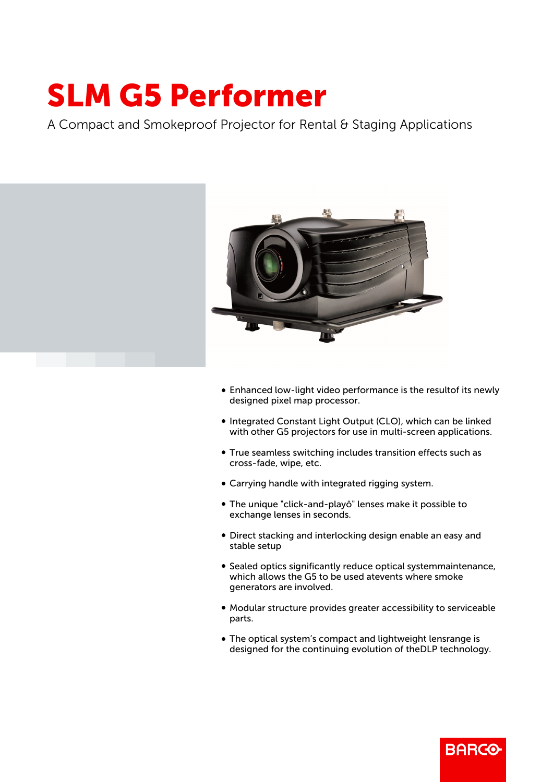## SLM G5 Performer

A Compact and Smokeproof Projector for Rental & Staging Applications



- Enhanced low-light video performance is the resultof its newly designed pixel map processor.
- Integrated Constant Light Output (CLO), which can be linked with other G5 projectors for use in multi-screen applications.
- True seamless switching includes transition effects such as cross-fade, wipe, etc.
- Carrying handle with integrated rigging system.
- b The unique "click-and-playô" lenses make it possible to exchange lenses in seconds.
- Direct stacking and interlocking design enable an easy and stable setup
- Sealed optics significantly reduce optical systemmaintenance, which allows the G5 to be used atevents where smoke generators are involved.
- b Modular structure provides greater accessibility to serviceable parts.
- The optical system's compact and lightweight lensrange is designed for the continuing evolution of theDLP technology.

**BARCO**